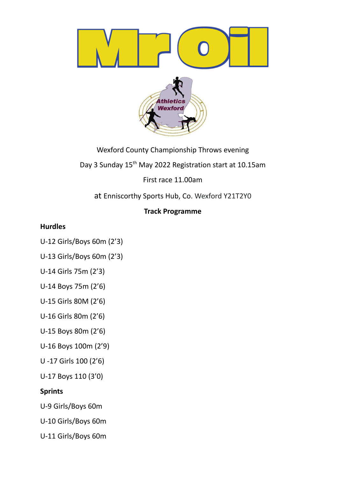

Wexford County Championship Throws evening Day 3 Sunday 15<sup>th</sup> May 2022 Registration start at 10.15am

First race 11.00am

at Enniscorthy Sports Hub, Co. Wexford Y21T2Y0

# **Track Programme**

## **Hurdles**

- U-12 Girls/Boys 60m (2'3)
- U-13 Girls/Boys 60m (2'3)
- U-14 Girls 75m (2'3)
- U-14 Boys 75m (2'6)
- U-15 Girls 80M (2'6)
- U-16 Girls 80m (2'6)
- U-15 Boys 80m (2'6)
- U-16 Boys 100m (2'9)
- U -17 Girls 100 (2'6)
- U-17 Boys 110 (3'0)

# **Sprints**

- U-9 Girls/Boys 60m
- U-10 Girls/Boys 60m
- U-11 Girls/Boys 60m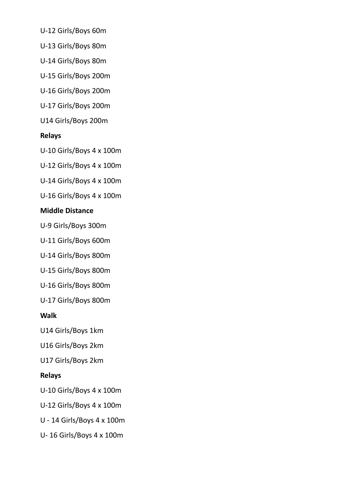U-12 Girls/Boys 60m

U-13 Girls/Boys 80m

U-14 Girls/Boys 80m

U-15 Girls/Boys 200m

U-16 Girls/Boys 200m

U-17 Girls/Boys 200m

U14 Girls/Boys 200m

#### **Relays**

U-10 Girls/Boys 4 x 100m

U-12 Girls/Boys 4 x 100m

U-14 Girls/Boys 4 x 100m

U-16 Girls/Boys 4 x 100m

#### **Middle Distance**

U-9 Girls/Boys 300m

U-11 Girls/Boys 600m

U-14 Girls/Boys 800m

U-15 Girls/Boys 800m

U-16 Girls/Boys 800m

U-17 Girls/Boys 800m

### **Walk**

U14 Girls/Boys 1km

U16 Girls/Boys 2km

U17 Girls/Boys 2km

### **Relays**

U-10 Girls/Boys 4 x 100m

U-12 Girls/Boys 4 x 100m

U - 14 Girls/Boys 4 x 100m

U- 16 Girls/Boys 4 x 100m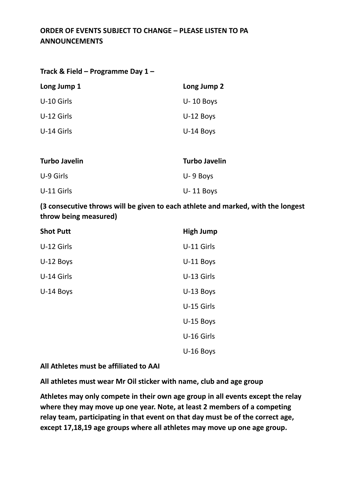## **ORDER OF EVENTS SUBJECT TO CHANGE – PLEASE LISTEN TO PA ANNOUNCEMENTS**

| Track & Field – Programme Day 1 – |  |  |
|-----------------------------------|--|--|
|-----------------------------------|--|--|

| Long Jump 1 | Long Jump 2   |
|-------------|---------------|
| U-10 Girls  | $U - 10$ Boys |
| U-12 Girls  | $U-12$ Boys   |
| U-14 Girls  | U-14 Boys     |
|             |               |

| Turbo Javelin | <b>Turbo Javelin</b> |
|---------------|----------------------|
| U-9 Girls     | $U - 9$ Boys         |
| U-11 Girls    | $U - 11$ Boys        |

**(3 consecutive throws will be given to each athlete and marked, with the longest throw being measured)**

| <b>Shot Putt</b> | <b>High Jump</b> |
|------------------|------------------|
| U-12 Girls       | U-11 Girls       |
| U-12 Boys        | U-11 Boys        |
| U-14 Girls       | U-13 Girls       |
| U-14 Boys        | U-13 Boys        |
|                  | U-15 Girls       |
|                  | U-15 Boys        |
|                  | U-16 Girls       |
|                  | U-16 Boys        |

#### **All Athletes must be affiliated to AAI**

**All athletes must wear Mr Oil sticker with name, club and age group**

**Athletes may only compete in their own age group in all events except the relay where they may move up one year. Note, at least 2 members of a competing relay team, participating in that event on that day must be of the correct age, except 17,18,19 age groups where all athletes may move up one age group.**